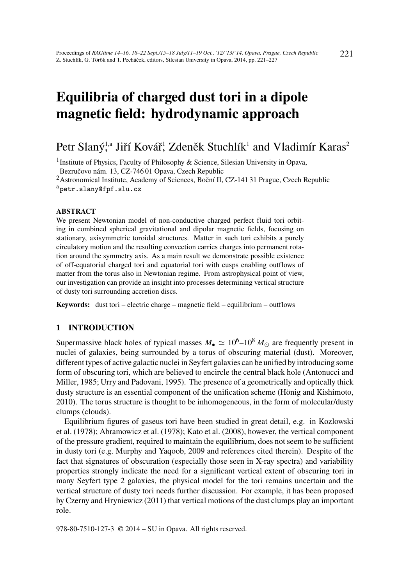# Equilibria of charged dust tori in a dipole magnetic field: hydrodynamic approach

## Petr Slaný,<sup>1,a</sup> Jiří Kovář, Zdeněk Stuchlík<sup>1</sup> and Vladimír Karas<sup>2</sup>

<sup>1</sup> Institute of Physics, Faculty of Philosophy & Science, Silesian University in Opava, Bezručovo nám. 13, CZ-746 01 Opava, Czech Republic

<sup>2</sup>Astronomical Institute, Academy of Sciences, Boční II, CZ-141 31 Prague, Czech Republic <sup>a</sup>petr.slany@fpf.slu.cz

#### **ABSTRACT**

We present Newtonian model of non-conductive charged perfect fluid tori orbiting in combined spherical gravitational and dipolar magnetic fields, focusing on stationary, axisymmetric toroidal structures. Matter in such tori exhibits a purely circulatory motion and the resulting convection carries charges into permanent rotation around the symmetry axis. As a main result we demonstrate possible existence of off-equatorial charged tori and equatorial tori with cusps enabling outflows of matter from the torus also in Newtonian regime. From astrophysical point of view, our investigation can provide an insight into processes determining vertical structure of dusty tori surrounding accretion discs.

Keywords: dust tori – electric charge – magnetic field – equilibrium – outflows

#### 1 INTRODUCTION

Supermassive black holes of typical masses  $M_{\bullet} \simeq 10^6$ – $10^8 M_{\odot}$  are frequently present in nuclei of galaxies, being surrounded by a torus of obscuring material (dust). Moreover, different types of active galactic nuclei in Seyfert galaxies can be unified by introducing some form of obscuring tori, which are believed to encircle the central black hole (Antonucci and Miller, 1985; Urry and Padovani, 1995). The presence of a geometrically and optically thick dusty structure is an essential component of the unification scheme (Hönig and Kishimoto, 2010). The torus structure is thought to be inhomogeneous, in the form of molecular/dusty clumps (clouds).

Equilibrium figures of gaseus tori have been studied in great detail, e.g. in Kozlowski et al. (1978); Abramowicz et al. (1978); Kato et al. (2008), however, the vertical component of the pressure gradient, required to maintain the equilibrium, does not seem to be sufficient in dusty tori (e.g. Murphy and Yaqoob, 2009 and references cited therein). Despite of the fact that signatures of obscuration (especially those seen in X-ray spectra) and variability properties strongly indicate the need for a significant vertical extent of obscuring tori in many Seyfert type 2 galaxies, the physical model for the tori remains uncertain and the vertical structure of dusty tori needs further discussion. For example, it has been proposed by Czerny and Hryniewicz (2011) that vertical motions of the dust clumps play an important role.

978-80-7510-127-3 © 2014 – SU in Opava. All rights reserved.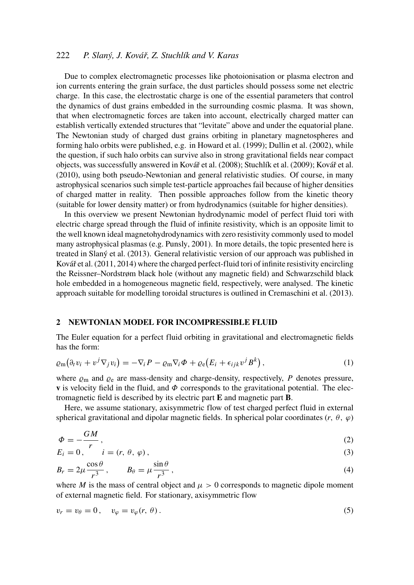### 222 *P. Slaný, J. Kovář, Z. Stuchlík and V. Karas*

Due to complex electromagnetic processes like photoionisation or plasma electron and ion currents entering the grain surface, the dust particles should possess some net electric charge. In this case, the electrostatic charge is one of the essential parameters that control the dynamics of dust grains embedded in the surrounding cosmic plasma. It was shown, that when electromagnetic forces are taken into account, electrically charged matter can establish vertically extended structures that "levitate" above and under the equatorial plane. The Newtonian study of charged dust grains orbiting in planetary magnetospheres and forming halo orbits were published, e.g. in Howard et al. (1999); Dullin et al. (2002), while the question, if such halo orbits can survive also in strong gravitational fields near compact objects, was successfully answered in Kovář et al. (2008); Stuchlík et al. (2009); Kovář et al. (2010), using both pseudo-Newtonian and general relativistic studies. Of course, in many astrophysical scenarios such simple test-particle approaches fail because of higher densities of charged matter in reality. Then possible approaches follow from the kinetic theory (suitable for lower density matter) or from hydrodynamics (suitable for higher densities).

In this overview we present Newtonian hydrodynamic model of perfect fluid tori with electric charge spread through the fluid of infinite resistivity, which is an opposite limit to the well known ideal magnetohydrodynamics with zero resistivity commonly used to model many astrophysical plasmas (e.g. Punsly, 2001). In more details, the topic presented here is treated in Slaný et al. (2013). General relativistic version of our approach was published in Kovář et al. (2011, 2014) where the charged perfect-fluid tori of infinite resistivity encircling the Reissner–Nordstrøm black hole (without any magnetic field) and Schwarzschild black hole embedded in a homogeneous magnetic field, respectively, were analysed. The kinetic approach suitable for modelling toroidal structures is outlined in Cremaschini et al. (2013).

#### 2 NEWTONIAN MODEL FOR INCOMPRESSIBLE FLUID

The Euler equation for a perfect fluid orbiting in gravitational and electromagnetic fields has the form:

$$
\varrho_{\rm m}(\partial_t v_i + v^j \nabla_j v_i) = -\nabla_i P - \varrho_{\rm m} \nabla_i \Phi + \varrho_{\rm e} (E_i + \epsilon_{ijk} v^j B^k) , \qquad (1)
$$

where  $\varrho_m$  and  $\varrho_e$  are mass-density and charge-density, respectively, *P* denotes pressure, **v** is velocity field in the fluid, and  $\Phi$  corresponds to the gravitational potential. The electromagnetic field is described by its electric part E and magnetic part B.

Here, we assume stationary, axisymmetric flow of test charged perfect fluid in external spherical gravitational and dipolar magnetic fields. In spherical polar coordinates ( $r$ ,  $\theta$ ,  $\varphi$ )

$$
\Phi = -\frac{GM}{r},\tag{2}
$$

$$
E_i = 0, \qquad i = (r, \theta, \varphi), \tag{3}
$$

$$
B_r = 2\mu \frac{\cos \theta}{r^3}, \qquad B_\theta = \mu \frac{\sin \theta}{r^3}, \qquad (4)
$$

where *M* is the mass of central object and  $\mu > 0$  corresponds to magnetic dipole moment of external magnetic field. For stationary, axisymmetric flow

$$
v_r = v_\theta = 0, \quad v_\varphi = v_\varphi(r, \theta). \tag{5}
$$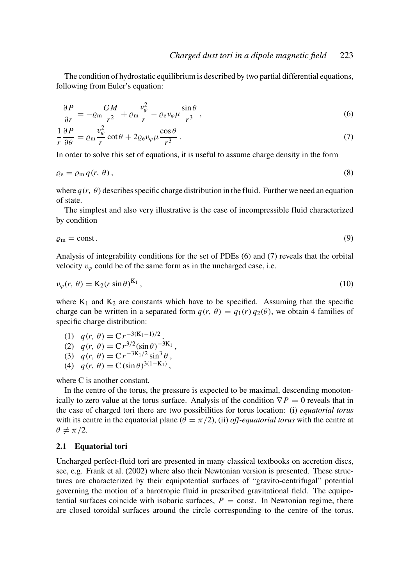The condition of hydrostatic equilibrium is described by two partial differential equations, following from Euler's equation:

$$
\frac{\partial P}{\partial r} = -\varrho_{\rm m} \frac{GM}{r^2} + \varrho_{\rm m} \frac{v_{\varphi}^2}{r} - \varrho_{\rm e} v_{\varphi} \mu \frac{\sin \theta}{r^3},\tag{6}
$$

$$
\frac{1}{r}\frac{\partial P}{\partial \theta} = \varrho_{\rm m} \frac{v_{\varphi}^2}{r} \cot \theta + 2\varrho_{\rm e} v_{\varphi} \mu \frac{\cos \theta}{r^3} \,. \tag{7}
$$

In order to solve this set of equations, it is useful to assume charge density in the form

$$
\varrho_{\rm e} = \varrho_{\rm m} q(r, \theta), \tag{8}
$$

where  $q(r, \theta)$  describes specific charge distribution in the fluid. Further we need an equation of state.

The simplest and also very illustrative is the case of incompressible fluid characterized by condition

$$
\varrho_{\rm m} = \text{const.}\tag{9}
$$

Analysis of integrability conditions for the set of PDEs (6) and (7) reveals that the orbital velocity  $v_{\varphi}$  could be of the same form as in the uncharged case, i.e.

$$
v_{\varphi}(r,\,\theta) = \mathbf{K}_2(r\sin\theta)^{\mathbf{K}_1},\tag{10}
$$

where  $K_1$  and  $K_2$  are constants which have to be specified. Assuming that the specific charge can be written in a separated form  $q(r, \theta) = q_1(r) q_2(\theta)$ , we obtain 4 families of specific charge distribution:

(1) 
$$
q(r, \theta) = Cr^{-3(K_1-1)/2}
$$
,

(2) 
$$
q(r, \theta) = Cr^{3/2}(\sin \theta)^{-3K_1}
$$
,

(3) 
$$
q(r, \theta) = Cr^{-3K_1/2} \sin^3 \theta
$$
,

(4) 
$$
q(r, \theta) = C (\sin \theta)^{3(1 - K_1)},
$$

where C is another constant.

In the centre of the torus, the pressure is expected to be maximal, descending monotonically to zero value at the torus surface. Analysis of the condition  $\nabla P = 0$  reveals that in the case of charged tori there are two possibilities for torus location: (i) *equatorial torus* with its centre in the equatorial plane  $(\theta = \pi/2)$ , (ii) *off-equatorial torus* with the centre at  $\theta \neq \pi/2$ .

#### 2.1 Equatorial tori

Uncharged perfect-fluid tori are presented in many classical textbooks on accretion discs, see, e.g. Frank et al. (2002) where also their Newtonian version is presented. These structures are characterized by their equipotential surfaces of "gravito-centrifugal" potential governing the motion of a barotropic fluid in prescribed gravitational field. The equipotential surfaces coincide with isobaric surfaces,  $P =$  const. In Newtonian regime, there are closed toroidal surfaces around the circle corresponding to the centre of the torus.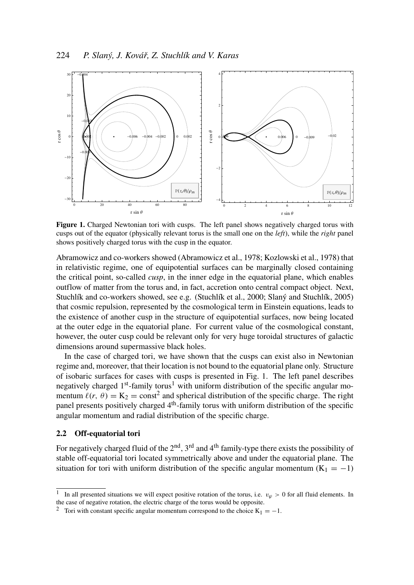

Figure 1. Charged Newtonian tori with cusps. The left panel shows negatively charged torus with cusps out of the equator (physically relevant torus is the small one on the *left*), while the *right* panel shows positively charged torus with the cusp in the equator.

Abramowicz and co-workers showed (Abramowicz et al., 1978; Kozlowski et al., 1978) that in relativistic regime, one of equipotential surfaces can be marginally closed containing the critical point, so-called *cusp*, in the inner edge in the equatorial plane, which enables outflow of matter from the torus and, in fact, accretion onto central compact object. Next, Stuchlík and co-workers showed, see e.g. (Stuchlík et al., 2000; Slaný and Stuchlík, 2005) that cosmic repulsion, represented by the cosmological term in Einstein equations, leads to the existence of another cusp in the structure of equipotential surfaces, now being located at the outer edge in the equatorial plane. For current value of the cosmological constant, however, the outer cusp could be relevant only for very huge toroidal structures of galactic dimensions around supermassive black holes.

In the case of charged tori, we have shown that the cusps can exist also in Newtonian regime and, moreover, that their location is not bound to the equatorial plane only. Structure of isobaric surfaces for cases with cusps is presented in Fig. 1. The left panel describes negatively charged 1<sup>st</sup>-family torus<sup>1</sup> with uniform distribution of the specific angular momentum  $\ell(r, \theta) = K_2 = \text{const}^2$  and spherical distribution of the specific charge. The right panel presents positively charged 4<sup>th</sup>-family torus with uniform distribution of the specific angular momentum and radial distribution of the specific charge.

#### 2.2 Off-equatorial tori

For negatively charged fluid of the  $2<sup>nd</sup>$ ,  $3<sup>rd</sup>$  and  $4<sup>th</sup>$  family-type there exists the possibility of stable off-equatorial tori located symmetrically above and under the equatorial plane. The situation for tori with uniform distribution of the specific angular momentum ( $K_1 = -1$ )

<sup>1</sup> In all presented situations we will expect positive rotation of the torus, i.e.  $v_{\varphi} > 0$  for all fluid elements. In the case of negative rotation, the electric charge of the torus would be opposite.

<sup>&</sup>lt;sup>2</sup> Tori with constant specific angular momentum correspond to the choice K<sub>1</sub> = −1.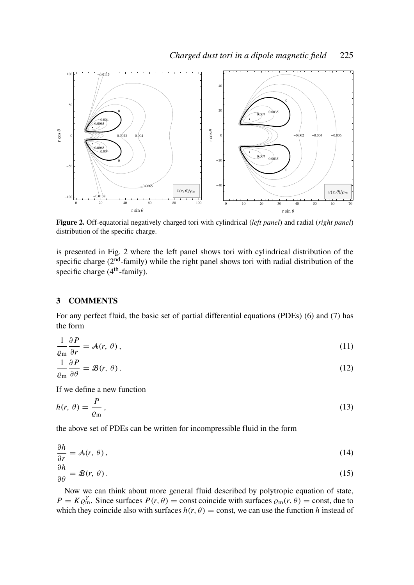

Figure 2. Off-equatorial negatively charged tori with cylindrical (*left panel*) and radial (*right panel*) distribution of the specific charge.

is presented in Fig. 2 where the left panel shows tori with cylindrical distribution of the specific charge  $(2<sup>nd</sup>-family)$  while the right panel shows tori with radial distribution of the specific charge  $(4<sup>th</sup>$ -family).

#### 3 COMMENTS

For any perfect fluid, the basic set of partial differential equations (PDEs) (6) and (7) has the form

$$
\frac{1}{\varrho_{\rm m}} \frac{\partial P}{\partial r} = \mathcal{A}(r, \theta), \tag{11}
$$

$$
\frac{1}{\varrho_{\rm m}}\frac{\partial P}{\partial \theta} = \mathcal{B}(r,\,\theta). \tag{12}
$$

If we define a new function

$$
h(r,\,\theta) = \frac{P}{\varrho_{\rm m}}\,,\tag{13}
$$

the above set of PDEs can be written for incompressible fluid in the form

$$
\frac{\partial h}{\partial r} = \mathcal{A}(r, \theta), \tag{14}
$$

$$
\frac{\partial h}{\partial \theta} = \mathcal{B}(r, \theta). \tag{15}
$$

Now we can think about more general fluid described by polytropic equation of state,  $P = K \varrho_m^{\gamma}$ . Since surfaces  $P(r, \theta) =$  const coincide with surfaces  $\varrho_m(r, \theta) =$  const, due to which they coincide also with surfaces  $h(r, \theta) = \text{const}$ , we can use the function h instead of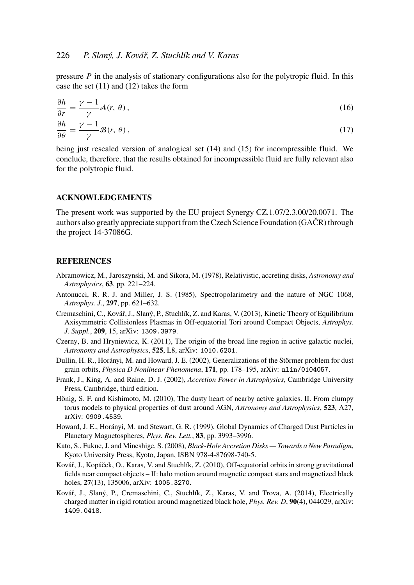pressure *P* in the analysis of stationary configurations also for the polytropic fluid. In this case the set (11) and (12) takes the form

$$
\frac{\partial h}{\partial r} = \frac{\gamma - 1}{\gamma} \mathcal{A}(r, \theta),
$$
  
\n
$$
\frac{\partial h}{\partial \theta} = \frac{\gamma - 1}{\gamma} \mathcal{B}(r, \theta),
$$
\n(17)

being just rescaled version of analogical set (14) and (15) for incompressible fluid. We conclude, therefore, that the results obtained for incompressible fluid are fully relevant also for the polytropic fluid.

#### ACKNOWLEDGEMENTS

The present work was supported by the EU project Synergy CZ.1.07/2.3.00/20.0071. The authors also greatly appreciate support from the Czech Science Foundation (GAČR) through the project 14-37086G.

#### **REFERENCES**

 $\partial \theta$ 

- Abramowicz, M., Jaroszynski, M. and Sikora, M. (1978), Relativistic, accreting disks, *Astronomy and Astrophysics*, 63, pp. 221–224.
- Antonucci, R. R. J. and Miller, J. S. (1985), Spectropolarimetry and the nature of NGC 1068, *Astrophys. J.*, 297, pp. 621–632.
- Cremaschini, C., Kovář, J., Slaný, P., Stuchlík, Z. and Karas, V. (2013), Kinetic Theory of Equilibrium Axisymmetric Collisionless Plasmas in Off-equatorial Tori around Compact Objects, *Astrophys. J. Suppl.*, 209, 15, arXiv: 1309.3979.
- Czerny, B. and Hryniewicz, K. (2011), The origin of the broad line region in active galactic nuclei, *Astronomy and Astrophysics*, 525, L8, arXiv: 1010.6201.
- Dullin, H. R., Horányi, M. and Howard, J. E. (2002), Generalizations of the Störmer problem for dust grain orbits, *Physica D Nonlinear Phenomena*, 171, pp. 178–195, arXiv: nlin/0104057.
- Frank, J., King, A. and Raine, D. J. (2002), *Accretion Power in Astrophysics*, Cambridge University Press, Cambridge, third edition.
- Hönig, S. F. and Kishimoto, M. (2010), The dusty heart of nearby active galaxies. II. From clumpy torus models to physical properties of dust around AGN, *Astronomy and Astrophysics*, 523, A27, arXiv: 0909.4539.
- Howard, J. E., Horányi, M. and Stewart, G. R. (1999), Global Dynamics of Charged Dust Particles in Planetary Magnetospheres, *Phys. Rev. Lett.*, 83, pp. 3993–3996.
- Kato, S., Fukue, J. and Mineshige, S. (2008), *Black-Hole Accretion Disks Towards a New Paradigm*, Kyoto University Press, Kyoto, Japan, ISBN 978-4-87698-740-5.
- Kovář, J., Kopáček, O., Karas, V. and Stuchlík, Z. (2010), Off-equatorial orbits in strong gravitational fields near compact objects – II: halo motion around magnetic compact stars and magnetized black holes, 27(13), 135006, arXiv: 1005.3270.
- Kovář, J., Slaný, P., Cremaschini, C., Stuchlík, Z., Karas, V. and Trova, A. (2014), Electrically charged matter in rigid rotation around magnetized black hole, *Phys. Rev. D*, 90(4), 044029, arXiv: 1409.0418.